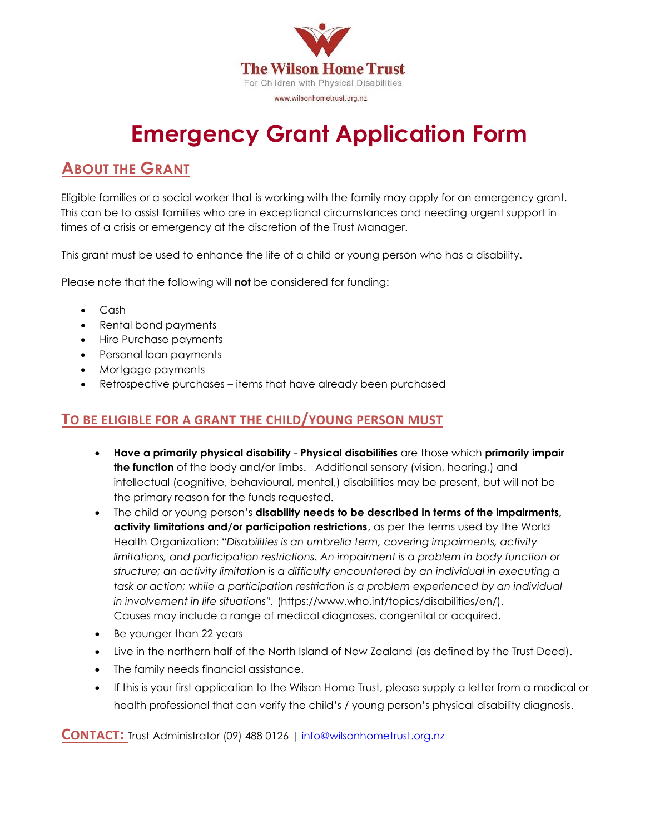

# **Emergency Grant Application Form**

## **ABOUT THE GRANT**

Eligible families or a social worker that is working with the family may apply for an emergency grant. This can be to assist families who are in exceptional circumstances and needing urgent support in times of a crisis or emergency at the discretion of the Trust Manager.

This grant must be used to enhance the life of a child or young person who has a disability.

Please note that the following will **not** be considered for funding:

- Cash
- Rental bond payments
- Hire Purchase payments
- Personal loan payments
- Mortgage payments
- Retrospective purchases items that have already been purchased

#### **TO BE ELIGIBLE FOR A GRANT THE CHILD/YOUNG PERSON MUST**

- **Have a primarily physical disability Physical disabilities** are those which **primarily impair the function** of the body and/or limbs. Additional sensory (vision, hearing,) and intellectual (cognitive, behavioural, mental,) disabilities may be present, but will not be the primary reason for the funds requested.
- The child or young person's **disability needs to be described in terms of the impairments, activity limitations and/or participation restrictions**, as per the terms used by the World Health Organization: "*Disabilities is an umbrella term, covering impairments, activity limitations, and participation restrictions. An impairment is a problem in body function or structure; an activity limitation is a difficulty encountered by an individual in executing a task or action; while a participation restriction is a problem experienced by an individual in involvement in life situations".* (https://www.who.int/topics/disabilities/en/). Causes may include a range of medical diagnoses, congenital or acquired.
- Be younger than 22 years
- Live in the northern half of the North Island of New Zealand (as defined by the Trust Deed).
- The family needs financial assistance.
- If this is your first application to the Wilson Home Trust, please supply a letter from a medical or health professional that can verify the child's / young person's physical disability diagnosis.

**CONTACT:** Trust Administrator (09) 488 <sup>0126</sup> <sup>|</sup> [info@wilsonhometrust.org.nz](mailto:info@wilsonhometrust.org.nz)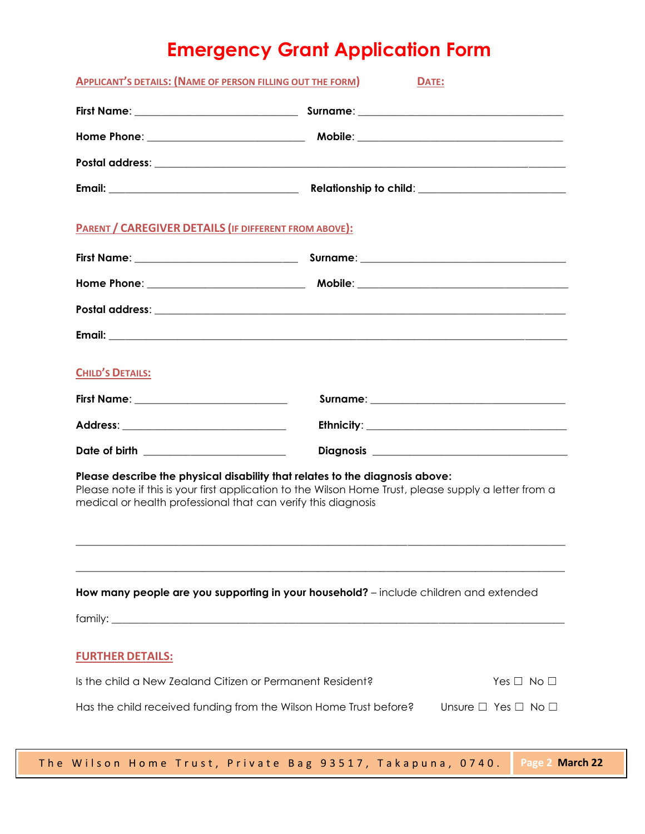## **Emergency Grant Application Form**

| <b>APPLICANT'S DETAILS: (NAME OF PERSON FILLING OUT THE FORM)</b>                                                                                                                                                                                      | DATE:                                                                                 |  |  |
|--------------------------------------------------------------------------------------------------------------------------------------------------------------------------------------------------------------------------------------------------------|---------------------------------------------------------------------------------------|--|--|
|                                                                                                                                                                                                                                                        |                                                                                       |  |  |
|                                                                                                                                                                                                                                                        |                                                                                       |  |  |
|                                                                                                                                                                                                                                                        |                                                                                       |  |  |
|                                                                                                                                                                                                                                                        |                                                                                       |  |  |
| <b>PARENT / CAREGIVER DETAILS (IF DIFFERENT FROM ABOVE):</b>                                                                                                                                                                                           |                                                                                       |  |  |
|                                                                                                                                                                                                                                                        |                                                                                       |  |  |
|                                                                                                                                                                                                                                                        |                                                                                       |  |  |
|                                                                                                                                                                                                                                                        |                                                                                       |  |  |
|                                                                                                                                                                                                                                                        |                                                                                       |  |  |
| <b>CHILD'S DETAILS:</b>                                                                                                                                                                                                                                |                                                                                       |  |  |
| First Name: _______________________________                                                                                                                                                                                                            |                                                                                       |  |  |
|                                                                                                                                                                                                                                                        |                                                                                       |  |  |
| Date of birth _______________________                                                                                                                                                                                                                  |                                                                                       |  |  |
| Please describe the physical disability that relates to the diagnosis above:<br>Please note if this is your first application to the Wilson Home Trust, please supply a letter from a<br>medical or health professional that can verify this diagnosis |                                                                                       |  |  |
|                                                                                                                                                                                                                                                        | How many people are you supporting in your household? - include children and extended |  |  |
| <b>FURTHER DETAILS:</b>                                                                                                                                                                                                                                |                                                                                       |  |  |
| Is the child a New Zealand Citizen or Permanent Resident?                                                                                                                                                                                              | Yes $\Box$ No $\Box$                                                                  |  |  |
| Has the child received funding from the Wilson Home Trust before?                                                                                                                                                                                      | Unsure $\Box$ Yes $\Box$ No $\Box$                                                    |  |  |
|                                                                                                                                                                                                                                                        |                                                                                       |  |  |

**21**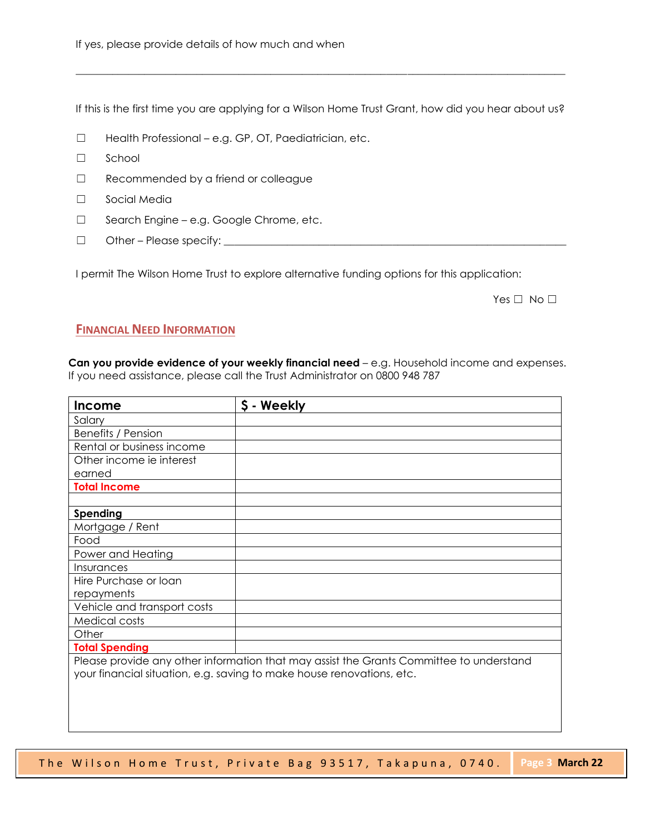If this is the first time you are applying for a Wilson Home Trust Grant, how did you hear about us?

 $\_$  ,  $\_$  ,  $\_$  ,  $\_$  ,  $\_$  ,  $\_$  ,  $\_$  ,  $\_$  ,  $\_$  ,  $\_$  ,  $\_$  ,  $\_$  ,  $\_$  ,  $\_$  ,  $\_$  ,  $\_$  ,  $\_$  ,  $\_$  ,  $\_$  ,  $\_$  ,  $\_$  ,  $\_$  ,  $\_$  ,  $\_$  ,  $\_$  ,  $\_$  ,  $\_$  ,  $\_$  ,  $\_$  ,  $\_$  ,  $\_$  ,  $\_$  ,  $\_$  ,  $\_$  ,  $\_$  ,  $\_$  ,  $\_$  ,

- ☐ Health Professional e.g. GP, OT, Paediatrician, etc.
- ☐ School
- ☐ Recommended by a friend or colleague
- ☐ Social Media
- ☐ Search Engine e.g. Google Chrome, etc.
- ☐ Other Please specify: \_\_\_\_\_\_\_\_\_\_\_\_\_\_\_\_\_\_\_\_\_\_\_\_\_\_\_\_\_\_\_\_\_\_\_\_\_\_\_\_\_\_\_\_\_\_\_\_\_\_\_\_\_\_\_\_\_\_\_\_\_\_\_\_\_

I permit The Wilson Home Trust to explore alternative funding options for this application:

Yes □ No □

**21**

#### **FINANCIAL NEED INFORMATION**

**Can you provide evidence of your weekly financial need** – e.g. Household income and expenses. If you need assistance, please call the Trust Administrator on 0800 948 787

| Income                                                                                  | \$ - Weekly                                                           |  |
|-----------------------------------------------------------------------------------------|-----------------------------------------------------------------------|--|
| Salary                                                                                  |                                                                       |  |
| Benefits / Pension                                                                      |                                                                       |  |
| Rental or business income                                                               |                                                                       |  |
| Other income ie interest                                                                |                                                                       |  |
| earned                                                                                  |                                                                       |  |
| <b>Total Income</b>                                                                     |                                                                       |  |
|                                                                                         |                                                                       |  |
| Spending                                                                                |                                                                       |  |
| Mortgage / Rent                                                                         |                                                                       |  |
| Food                                                                                    |                                                                       |  |
| Power and Heating                                                                       |                                                                       |  |
| Insurances                                                                              |                                                                       |  |
| Hire Purchase or loan                                                                   |                                                                       |  |
| repayments                                                                              |                                                                       |  |
| Vehicle and transport costs                                                             |                                                                       |  |
| Medical costs                                                                           |                                                                       |  |
| Other                                                                                   |                                                                       |  |
| <b>Total Spending</b>                                                                   |                                                                       |  |
| Please provide any other information that may assist the Grants Committee to understand |                                                                       |  |
|                                                                                         | your financial situation, e.g. saving to make house renovations, etc. |  |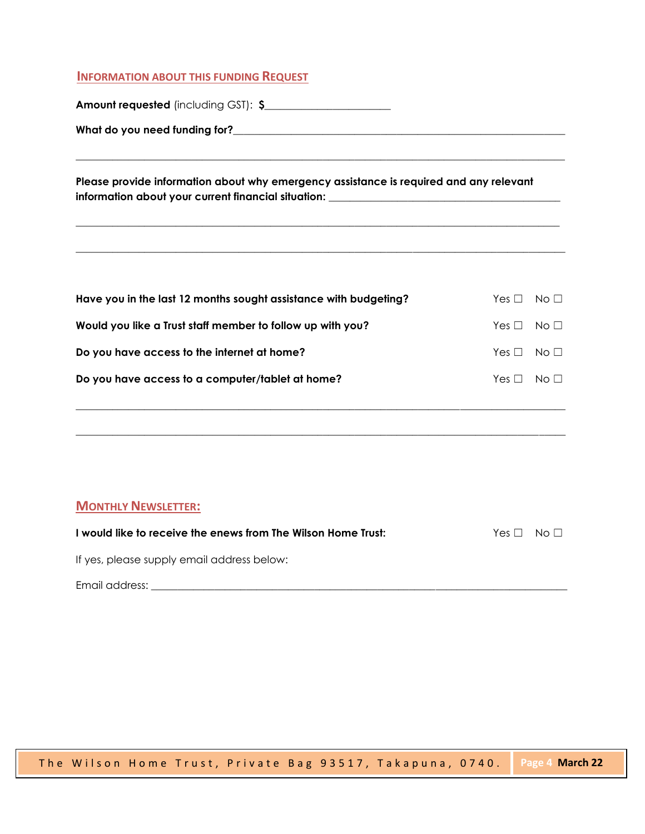#### **INFORMATION ABOUT THIS FUNDING REQUEST**

**Amount requested** (including GST): **\$\_\_\_\_\_\_\_\_\_\_\_\_\_\_\_\_\_\_\_\_\_\_\_\_**

**What do you need funding for?\_\_\_\_\_\_\_\_**\_\_\_\_\_\_\_\_\_\_\_\_\_\_\_\_\_\_\_\_\_\_\_\_\_\_\_\_\_\_\_\_\_\_\_\_\_\_\_\_\_\_\_\_\_\_\_\_\_\_\_\_\_\_\_

**Please provide information about why emergency assistance is required and any relevant information about your current financial situation:** \_\_\_\_\_\_\_\_\_\_\_\_\_\_\_\_\_\_\_\_\_\_\_\_\_\_\_\_\_\_\_\_\_\_\_\_\_\_\_\_\_\_\_\_

\_\_\_\_\_\_\_\_\_\_\_\_\_\_\_\_\_\_\_\_\_\_\_\_\_\_\_\_\_\_\_\_\_\_\_\_\_\_\_\_\_\_\_\_\_\_\_\_\_\_\_\_\_\_\_\_\_\_\_\_\_\_\_\_\_\_\_\_\_\_\_\_\_\_\_\_\_\_\_\_\_\_\_\_\_\_\_\_\_\_\_\_\_

\_\_\_\_\_\_\_\_\_\_\_\_\_\_\_\_\_\_\_\_\_\_\_\_\_\_\_\_\_\_\_\_\_\_\_\_\_\_\_\_\_\_\_\_\_\_\_\_\_\_\_\_\_\_\_\_\_\_\_\_\_\_\_\_\_\_\_\_\_\_\_\_\_\_\_\_\_\_\_\_\_\_\_\_\_\_\_\_\_\_\_\_

\_\_\_\_\_\_\_\_\_\_\_\_\_\_\_\_\_\_\_\_\_\_\_\_\_\_\_\_\_\_\_\_\_\_\_\_\_\_\_\_\_\_\_\_\_\_\_\_\_\_\_\_\_\_\_\_\_\_\_\_\_\_\_\_\_\_\_\_\_\_\_\_\_\_\_\_\_\_\_\_\_\_\_\_\_\_\_\_\_\_\_\_\_

| Have you in the last 12 months sought assistance with budgeting? | $Yes \Box No \Box$ |  |
|------------------------------------------------------------------|--------------------|--|
| Would you like a Trust staff member to follow up with you?       | $Yes \Box No \Box$ |  |
| Do you have access to the internet at home?                      | $Yes \Box No \Box$ |  |
| Do you have access to a computer/tablet at home?                 | $Yes \Box No \Box$ |  |
|                                                                  |                    |  |

**\_\_\_\_\_\_\_\_\_\_\_\_\_\_\_\_\_\_\_\_\_\_\_\_\_\_\_\_\_\_\_\_\_\_\_\_\_\_\_\_\_\_\_\_\_\_\_\_\_\_\_\_\_\_\_\_\_\_\_\_\_\_\_\_\_\_\_\_\_\_\_\_\_\_\_\_\_\_\_\_\_\_\_\_\_\_\_\_\_\_\_\_\_**

**\_\_\_\_\_\_\_\_\_\_\_\_\_\_\_\_\_\_\_\_\_\_\_\_\_\_\_\_\_\_\_\_\_\_\_\_\_\_\_\_\_\_\_\_\_\_\_\_\_\_\_\_\_\_\_\_\_\_\_\_\_\_\_\_\_\_\_\_\_\_\_\_\_\_\_\_\_\_\_\_\_\_\_\_\_\_\_\_\_\_\_\_\_**

#### **MONTHLY NEWSLETTER:**

| I would like to receive the enews from The Wilson Home Trust: | $Yes \Box No \Box$ |  |
|---------------------------------------------------------------|--------------------|--|
| If yes, please supply email address below:                    |                    |  |
| Email address:                                                |                    |  |

**21**